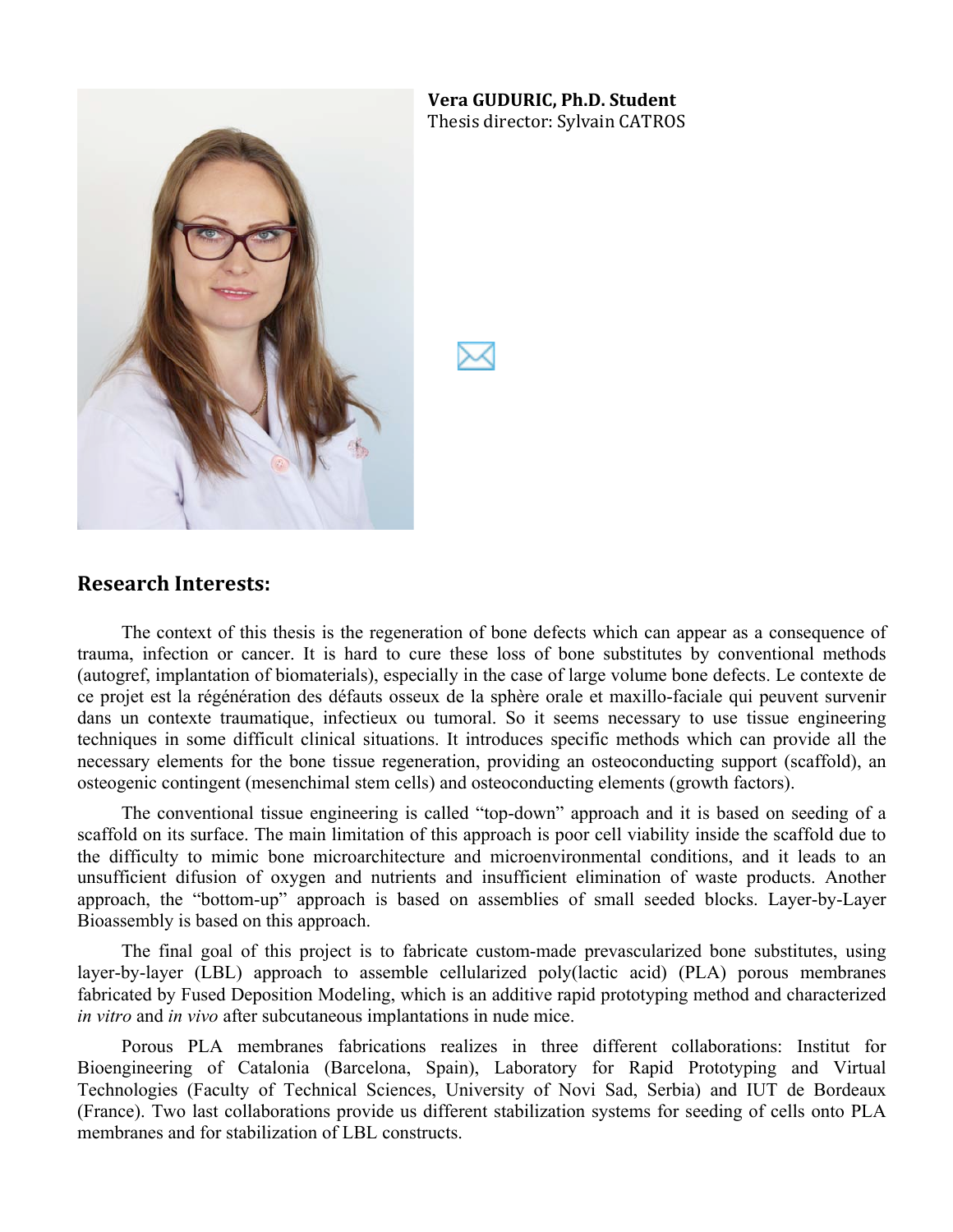

# **Vera%GUDURIC, Ph.D.%Student**

Thesis director: Sylvain CATROS

#### **Research%Interests:**

The context of this thesis is the regeneration of bone defects which can appear as a consequence of trauma, infection or cancer. It is hard to cure these loss of bone substitutes by conventional methods (autogref, implantation of biomaterials), especially in the case of large volume bone defects. Le contexte de ce projet est la régénération des défauts osseux de la sphère orale et maxillo-faciale qui peuvent survenir dans un contexte traumatique, infectieux ou tumoral. So it seems necessary to use tissue engineering techniques in some difficult clinical situations. It introduces specific methods which can provide all the necessary elements for the bone tissue regeneration, providing an osteoconducting support (scaffold), an osteogenic contingent (mesenchimal stem cells) and osteoconducting elements (growth factors).

The conventional tissue engineering is called "top-down" approach and it is based on seeding of a scaffold on its surface. The main limitation of this approach is poor cell viability inside the scaffold due to the difficulty to mimic bone microarchitecture and microenvironmental conditions, and it leads to an unsufficient difusion of oxygen and nutrients and insufficient elimination of waste products. Another approach, the "bottom-up" approach is based on assemblies of small seeded blocks. Layer-by-Layer Bioassembly is based on this approach.

The final goal of this project is to fabricate custom-made prevascularized bone substitutes, using layer-by-layer (LBL) approach to assemble cellularized poly(lactic acid) (PLA) porous membranes fabricated by Fused Deposition Modeling, which is an additive rapid prototyping method and characterized *in vitro* and *in vivo* after subcutaneous implantations in nude mice.

Porous PLA membranes fabrications realizes in three different collaborations: Institut for Bioengineering of Catalonia (Barcelona, Spain), Laboratory for Rapid Prototyping and Virtual Technologies (Faculty of Technical Sciences, University of Novi Sad, Serbia) and IUT de Bordeaux (France). Two last collaborations provide us different stabilization systems for seeding of cells onto PLA membranes and for stabilization of LBL constructs.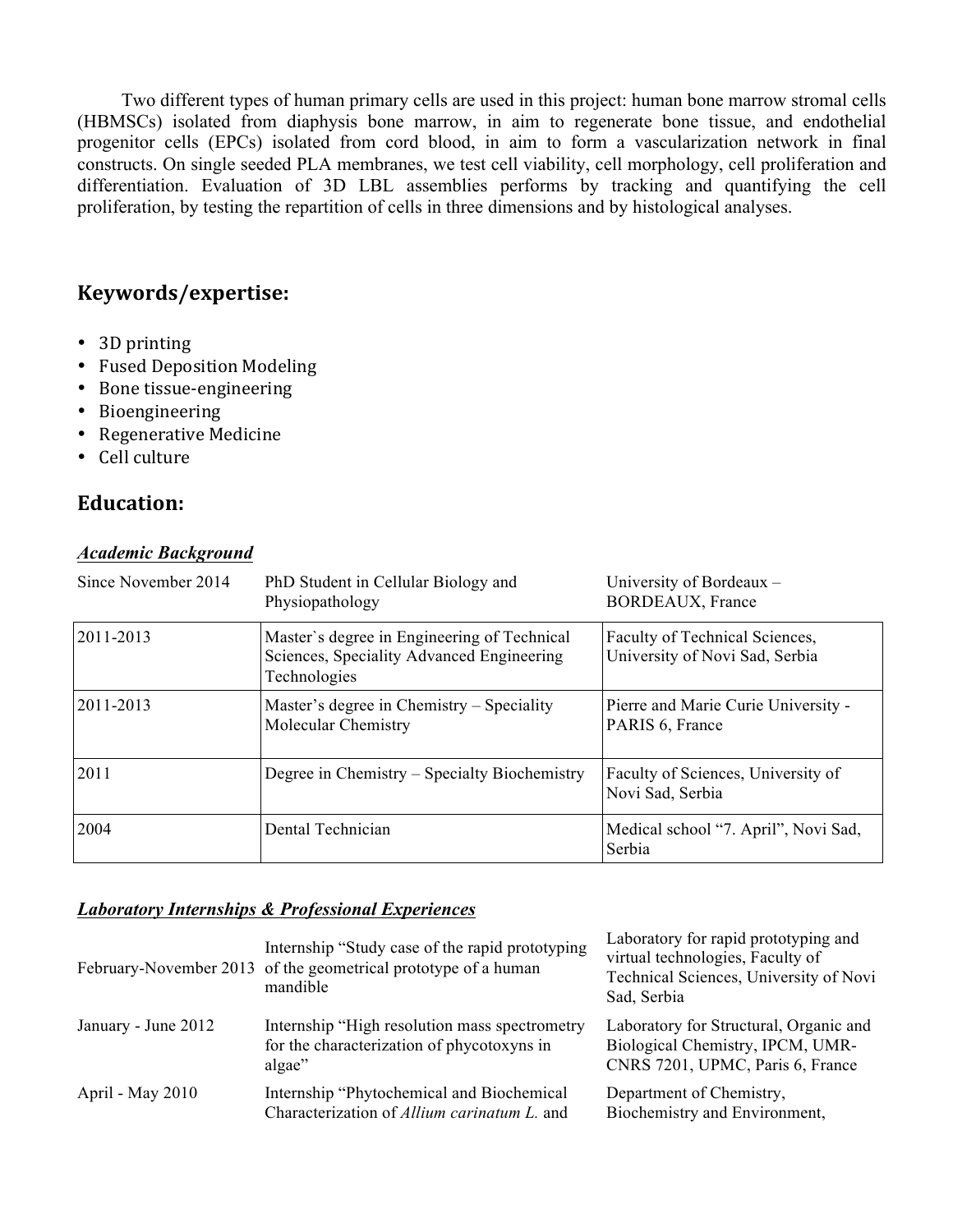Two different types of human primary cells are used in this project: human bone marrow stromal cells (HBMSCs) isolated from diaphysis bone marrow, in aim to regenerate bone tissue, and endothelial progenitor cells (EPCs) isolated from cord blood, in aim to form a vascularization network in final constructs. On single seeded PLA membranes, we test cell viability, cell morphology, cell proliferation and differentiation. Evaluation of 3D LBL assemblies performs by tracking and quantifying the cell proliferation, by testing the repartition of cells in three dimensions and by histological analyses.

### **Keywords/expertise:**

- $\cdot$  3D printing
- Fused Deposition Modeling
- Bone tissue-engineering
- Bioengineering
- Regenerative Medicine
- Cell culture

### **Education:**

#### *Academic Background*

| Since November 2014 | PhD Student in Cellular Biology and<br>Physiopathology                                                   | University of Bordeaux -<br><b>BORDEAUX, France</b>              |
|---------------------|----------------------------------------------------------------------------------------------------------|------------------------------------------------------------------|
| 2011-2013           | Master's degree in Engineering of Technical<br>Sciences, Speciality Advanced Engineering<br>Technologies | Faculty of Technical Sciences,<br>University of Novi Sad, Serbia |
| 2011-2013           | Master's degree in Chemistry – Speciality<br>Molecular Chemistry                                         | Pierre and Marie Curie University -<br>PARIS 6, France           |
| 2011                | Degree in Chemistry – Specialty Biochemistry                                                             | Faculty of Sciences, University of<br>Novi Sad, Serbia           |
| 2004                | Dental Technician                                                                                        | Medical school "7. April", Novi Sad,<br>Serbia                   |

#### *Laboratory Internships & Professional Experiences*

|                     | Internship "Study case of the rapid prototyping<br>February-November 2013 of the geometrical prototype of a human<br>mandible | Laboratory for rapid prototyping and<br>virtual technologies, Faculty of<br>Technical Sciences, University of Novi<br>Sad, Serbia |
|---------------------|-------------------------------------------------------------------------------------------------------------------------------|-----------------------------------------------------------------------------------------------------------------------------------|
| January - June 2012 | Internship "High resolution mass spectrometry<br>for the characterization of phycotoxyns in<br>algae"                         | Laboratory for Structural, Organic and<br>Biological Chemistry, IPCM, UMR-<br>CNRS 7201, UPMC, Paris 6, France                    |
| April - May 2010    | Internship "Phytochemical and Biochemical<br>Characterization of Allium carinatum L. and                                      | Department of Chemistry,<br>Biochemistry and Environment,                                                                         |